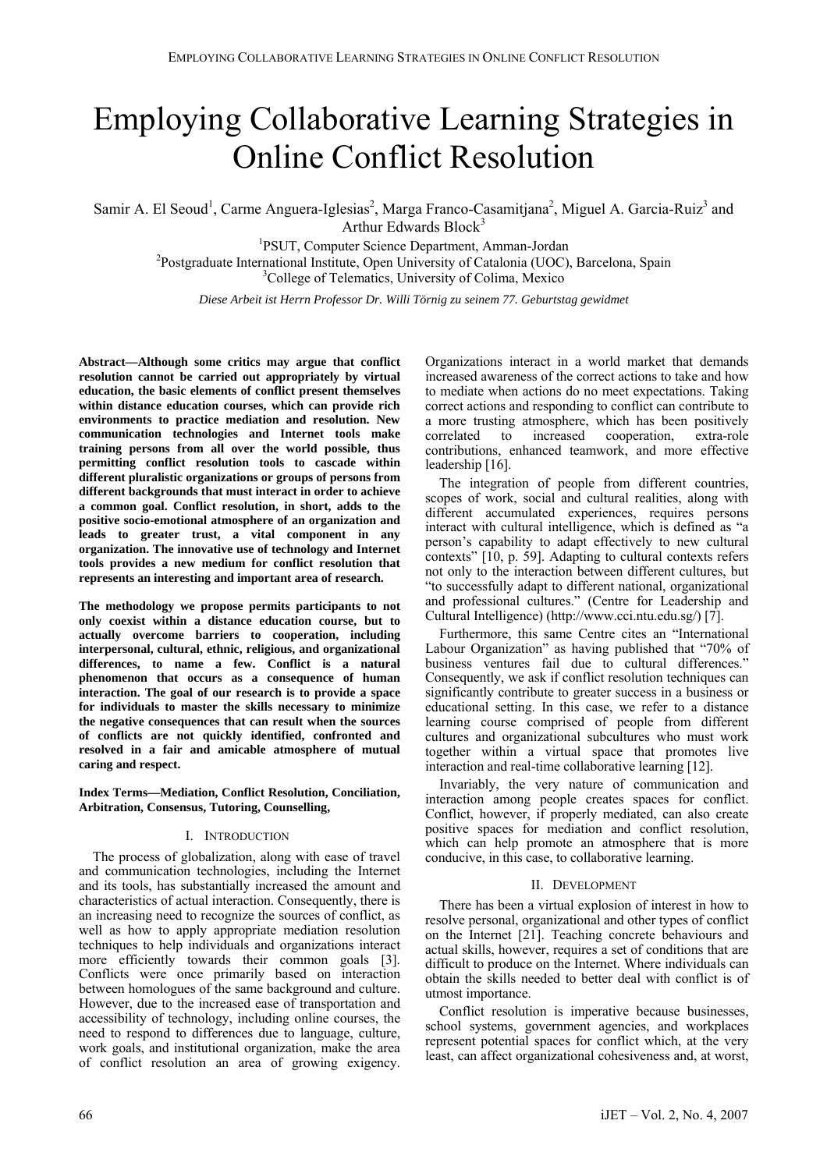# Employing Collaborative Learning Strategies in Online Conflict Resolution

Samir A. El Seoud<sup>1</sup>, Carme Anguera-Iglesias<sup>2</sup>, Marga Franco-Casamitjana<sup>2</sup>, Miguel A. Garcia-Ruiz<sup>3</sup> and Arthur Edwards Block<sup>3</sup> Arthur Edwards Block<sup>3</sup><br><sup>1</sup>DSUT Computer Science Department A

 $P\text{SUT}$ , Computer Science Department, Amman-Jordan  $P\text{D}$ <sup>2</sup>Postgraduate International Institute, Open University of Catalonia (UOC), Barcelona, Spain <sup>3</sup>College of Telematics, University of Colima, Mexico

*Diese Arbeit ist Herrn Professor Dr. Willi Törnig zu seinem 77. Geburtstag gewidmet* 

**Abstract—Although some critics may argue that conflict resolution cannot be carried out appropriately by virtual education, the basic elements of conflict present themselves within distance education courses, which can provide rich environments to practice mediation and resolution. New communication technologies and Internet tools make training persons from all over the world possible, thus permitting conflict resolution tools to cascade within different pluralistic organizations or groups of persons from different backgrounds that must interact in order to achieve a common goal. Conflict resolution, in short, adds to the positive socio-emotional atmosphere of an organization and leads to greater trust, a vital component in any organization. The innovative use of technology and Internet tools provides a new medium for conflict resolution that represents an interesting and important area of research.** 

**The methodology we propose permits participants to not only coexist within a distance education course, but to actually overcome barriers to cooperation, including interpersonal, cultural, ethnic, religious, and organizational differences, to name a few. Conflict is a natural phenomenon that occurs as a consequence of human interaction. The goal of our research is to provide a space for individuals to master the skills necessary to minimize the negative consequences that can result when the sources of conflicts are not quickly identified, confronted and resolved in a fair and amicable atmosphere of mutual caring and respect.** 

**Index Terms—Mediation, Conflict Resolution, Conciliation, Arbitration, Consensus, Tutoring, Counselling,** 

### I. INTRODUCTION

The process of globalization, along with ease of travel and communication technologies, including the Internet and its tools, has substantially increased the amount and characteristics of actual interaction. Consequently, there is an increasing need to recognize the sources of conflict, as well as how to apply appropriate mediation resolution techniques to help individuals and organizations interact more efficiently towards their common goals [3]. Conflicts were once primarily based on interaction between homologues of the same background and culture. However, due to the increased ease of transportation and accessibility of technology, including online courses, the need to respond to differences due to language, culture, work goals, and institutional organization, make the area of conflict resolution an area of growing exigency. Organizations interact in a world market that demands increased awareness of the correct actions to take and how to mediate when actions do no meet expectations. Taking correct actions and responding to conflict can contribute to a more trusting atmosphere, which has been positively correlated to increased cooperation, extra-role contributions, enhanced teamwork, and more effective leadership [16].

The integration of people from different countries, scopes of work, social and cultural realities, along with different accumulated experiences, requires persons interact with cultural intelligence, which is defined as "a person's capability to adapt effectively to new cultural contexts" [10, p. 59]. Adapting to cultural contexts refers not only to the interaction between different cultures, but "to successfully adapt to different national, organizational and professional cultures." (Centre for Leadership and Cultural Intelligence) (http://www.cci.ntu.edu.sg/) [7].

Furthermore, this same Centre cites an "International Labour Organization" as having published that "70% of business ventures fail due to cultural differences." Consequently, we ask if conflict resolution techniques can significantly contribute to greater success in a business or educational setting. In this case, we refer to a distance learning course comprised of people from different cultures and organizational subcultures who must work together within a virtual space that promotes live interaction and real-time collaborative learning [12].

Invariably, the very nature of communication and interaction among people creates spaces for conflict. Conflict, however, if properly mediated, can also create positive spaces for mediation and conflict resolution, which can help promote an atmosphere that is more conducive, in this case, to collaborative learning.

## II. DEVELOPMENT

There has been a virtual explosion of interest in how to resolve personal, organizational and other types of conflict on the Internet [21]. Teaching concrete behaviours and actual skills, however, requires a set of conditions that are difficult to produce on the Internet. Where individuals can obtain the skills needed to better deal with conflict is of utmost importance.

Conflict resolution is imperative because businesses, school systems, government agencies, and workplaces represent potential spaces for conflict which, at the very least, can affect organizational cohesiveness and, at worst,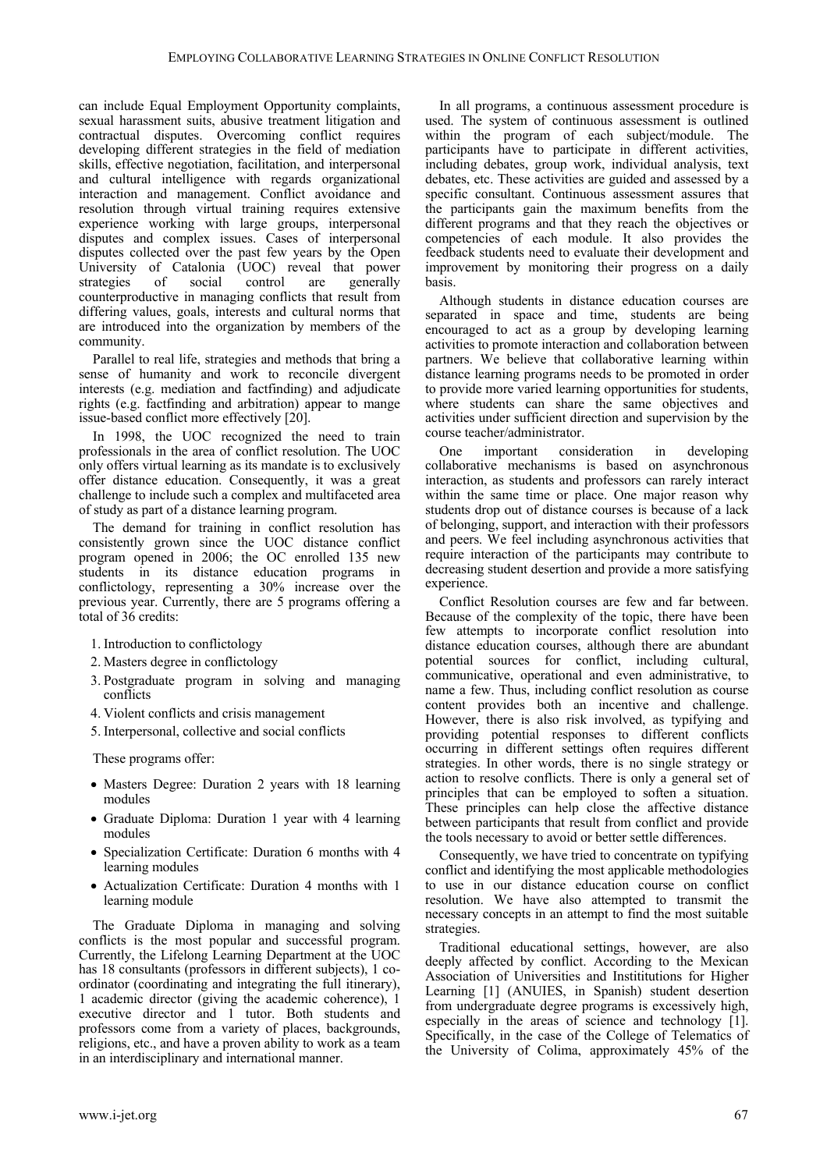can include Equal Employment Opportunity complaints, sexual harassment suits, abusive treatment litigation and contractual disputes. Overcoming conflict requires developing different strategies in the field of mediation skills, effective negotiation, facilitation, and interpersonal and cultural intelligence with regards organizational interaction and management. Conflict avoidance and resolution through virtual training requires extensive experience working with large groups, interpersonal disputes and complex issues. Cases of interpersonal disputes collected over the past few years by the Open University of Catalonia (UOC) reveal that power<br>strategies of social control are generally generally counterproductive in managing conflicts that result from differing values, goals, interests and cultural norms that are introduced into the organization by members of the community.

Parallel to real life, strategies and methods that bring a sense of humanity and work to reconcile divergent interests (e.g. mediation and factfinding) and adjudicate rights (e.g. factfinding and arbitration) appear to mange issue-based conflict more effectively [20].

In 1998, the UOC recognized the need to train professionals in the area of conflict resolution. The UOC only offers virtual learning as its mandate is to exclusively offer distance education. Consequently, it was a great challenge to include such a complex and multifaceted area of study as part of a distance learning program.

The demand for training in conflict resolution has consistently grown since the UOC distance conflict program opened in 2006; the OC enrolled 135 new students in its distance education programs in conflictology, representing a 30% increase over the previous year. Currently, there are 5 programs offering a total of 36 credits:

- 1. Introduction to conflictology
- 2. Masters degree in conflictology
- 3. Postgraduate program in solving and managing conflicts
- 4. Violent conflicts and crisis management
- 5. Interpersonal, collective and social conflicts

These programs offer:

- Masters Degree: Duration 2 years with 18 learning modules
- Graduate Diploma: Duration 1 year with 4 learning modules
- Specialization Certificate: Duration 6 months with 4 learning modules
- Actualization Certificate: Duration 4 months with 1 learning module

The Graduate Diploma in managing and solving conflicts is the most popular and successful program. Currently, the Lifelong Learning Department at the UOC has 18 consultants (professors in different subjects), 1 coordinator (coordinating and integrating the full itinerary), 1 academic director (giving the academic coherence), 1 executive director and 1 tutor. Both students and professors come from a variety of places, backgrounds, religions, etc., and have a proven ability to work as a team in an interdisciplinary and international manner.

In all programs, a continuous assessment procedure is used. The system of continuous assessment is outlined within the program of each subject/module. The participants have to participate in different activities, including debates, group work, individual analysis, text debates, etc. These activities are guided and assessed by a specific consultant. Continuous assessment assures that the participants gain the maximum benefits from the different programs and that they reach the objectives or competencies of each module. It also provides the feedback students need to evaluate their development and improvement by monitoring their progress on a daily basis.

Although students in distance education courses are separated in space and time, students are being encouraged to act as a group by developing learning activities to promote interaction and collaboration between partners. We believe that collaborative learning within distance learning programs needs to be promoted in order to provide more varied learning opportunities for students, where students can share the same objectives and activities under sufficient direction and supervision by the course teacher/administrator.

One important consideration in developing collaborative mechanisms is based on asynchronous interaction, as students and professors can rarely interact within the same time or place. One major reason why students drop out of distance courses is because of a lack of belonging, support, and interaction with their professors and peers. We feel including asynchronous activities that require interaction of the participants may contribute to decreasing student desertion and provide a more satisfying experience.

Conflict Resolution courses are few and far between. Because of the complexity of the topic, there have been few attempts to incorporate conflict resolution into distance education courses, although there are abundant potential sources for conflict, including cultural, communicative, operational and even administrative, to name a few. Thus, including conflict resolution as course content provides both an incentive and challenge. However, there is also risk involved, as typifying and providing potential responses to different conflicts occurring in different settings often requires different strategies. In other words, there is no single strategy or action to resolve conflicts. There is only a general set of principles that can be employed to soften a situation. These principles can help close the affective distance between participants that result from conflict and provide the tools necessary to avoid or better settle differences.

Consequently, we have tried to concentrate on typifying conflict and identifying the most applicable methodologies to use in our distance education course on conflict resolution. We have also attempted to transmit the necessary concepts in an attempt to find the most suitable strategies.

Traditional educational settings, however, are also deeply affected by conflict. According to the Mexican Association of Universities and Instititutions for Higher Learning [1] (ANUIES, in Spanish) student desertion from undergraduate degree programs is excessively high, especially in the areas of science and technology [1]. Specifically, in the case of the College of Telematics of the University of Colima, approximately 45% of the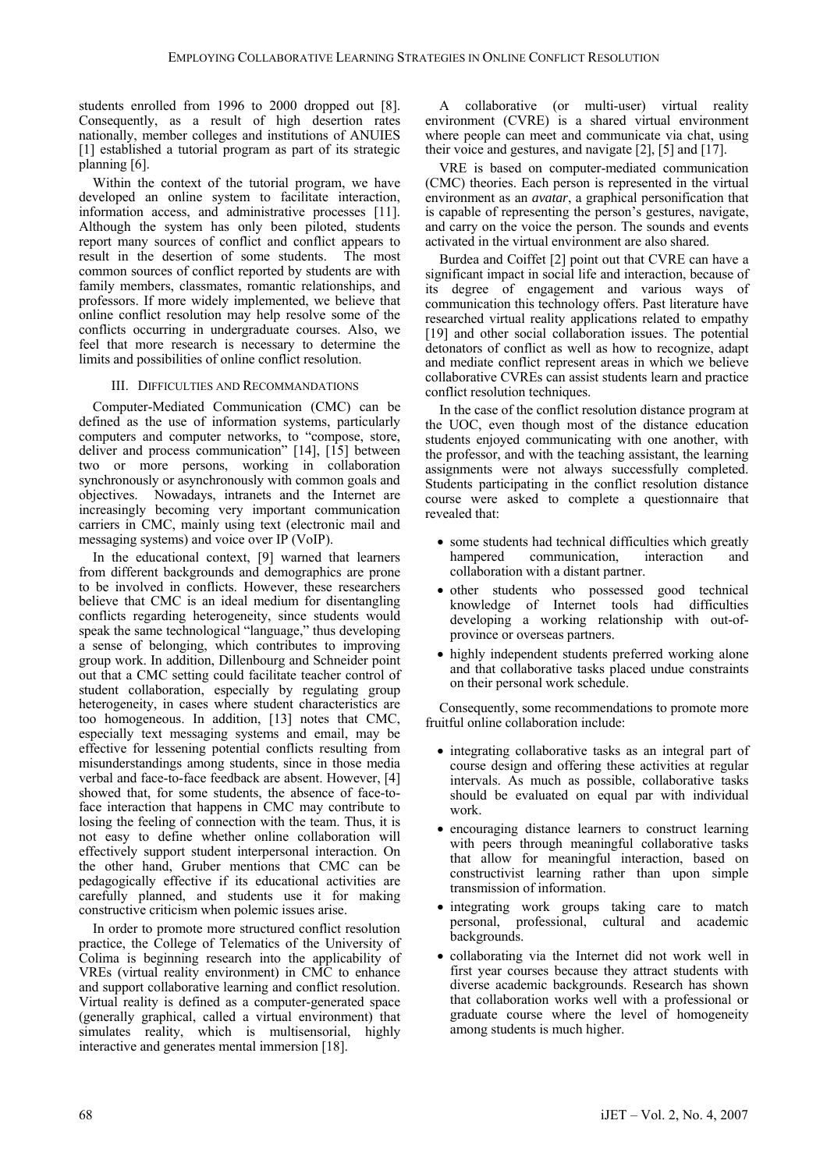students enrolled from 1996 to 2000 dropped out [8]. Consequently, as a result of high desertion rates nationally, member colleges and institutions of ANUIES [1] established a tutorial program as part of its strategic planning [6].

Within the context of the tutorial program, we have developed an online system to facilitate interaction, information access, and administrative processes [11]. Although the system has only been piloted, students report many sources of conflict and conflict appears to result in the desertion of some students. The most common sources of conflict reported by students are with family members, classmates, romantic relationships, and professors. If more widely implemented, we believe that online conflict resolution may help resolve some of the conflicts occurring in undergraduate courses. Also, we feel that more research is necessary to determine the limits and possibilities of online conflict resolution.

#### III. DIFFICULTIES AND RECOMMANDATIONS

Computer-Mediated Communication (CMC) can be defined as the use of information systems, particularly computers and computer networks, to "compose, store, deliver and process communication" [14], [15] between two or more persons, working in collaboration synchronously or asynchronously with common goals and objectives. Nowadays, intranets and the Internet are increasingly becoming very important communication carriers in CMC, mainly using text (electronic mail and messaging systems) and voice over IP (VoIP).

In the educational context, [9] warned that learners from different backgrounds and demographics are prone to be involved in conflicts. However, these researchers believe that CMC is an ideal medium for disentangling conflicts regarding heterogeneity, since students would speak the same technological "language," thus developing a sense of belonging, which contributes to improving group work. In addition, Dillenbourg and Schneider point out that a CMC setting could facilitate teacher control of student collaboration, especially by regulating group heterogeneity, in cases where student characteristics are too homogeneous. In addition, [13] notes that CMC, especially text messaging systems and email, may be effective for lessening potential conflicts resulting from misunderstandings among students, since in those media verbal and face-to-face feedback are absent. However, [4] showed that, for some students, the absence of face-toface interaction that happens in CMC may contribute to losing the feeling of connection with the team. Thus, it is not easy to define whether online collaboration will effectively support student interpersonal interaction. On the other hand, Gruber mentions that CMC can be pedagogically effective if its educational activities are carefully planned, and students use it for making constructive criticism when polemic issues arise.

In order to promote more structured conflict resolution practice, the College of Telematics of the University of Colima is beginning research into the applicability of VREs (virtual reality environment) in CMC to enhance and support collaborative learning and conflict resolution. Virtual reality is defined as a computer-generated space (generally graphical, called a virtual environment) that simulates reality, which is multisensorial, highly interactive and generates mental immersion [18].

A collaborative (or multi-user) virtual reality environment (CVRE) is a shared virtual environment where people can meet and communicate via chat, using their voice and gestures, and navigate [2], [5] and [17].

VRE is based on computer-mediated communication (CMC) theories. Each person is represented in the virtual environment as an *avatar*, a graphical personification that is capable of representing the person's gestures, navigate, and carry on the voice the person. The sounds and events activated in the virtual environment are also shared.

Burdea and Coiffet [2] point out that CVRE can have a significant impact in social life and interaction, because of its degree of engagement and various ways of communication this technology offers. Past literature have researched virtual reality applications related to empathy [19] and other social collaboration issues. The potential detonators of conflict as well as how to recognize, adapt and mediate conflict represent areas in which we believe collaborative CVREs can assist students learn and practice conflict resolution techniques.

In the case of the conflict resolution distance program at the UOC, even though most of the distance education students enjoyed communicating with one another, with the professor, and with the teaching assistant, the learning assignments were not always successfully completed. Students participating in the conflict resolution distance course were asked to complete a questionnaire that revealed that:

- some students had technical difficulties which greatly hampered communication, interaction and collaboration with a distant partner.
- other students who possessed good technical knowledge of Internet tools had difficulties developing a working relationship with out-ofprovince or overseas partners.
- highly independent students preferred working alone and that collaborative tasks placed undue constraints on their personal work schedule.

Consequently, some recommendations to promote more fruitful online collaboration include:

- integrating collaborative tasks as an integral part of course design and offering these activities at regular intervals. As much as possible, collaborative tasks should be evaluated on equal par with individual work.
- encouraging distance learners to construct learning with peers through meaningful collaborative tasks that allow for meaningful interaction, based on constructivist learning rather than upon simple transmission of information.
- integrating work groups taking care to match personal, professional, cultural and academic backgrounds.
- collaborating via the Internet did not work well in first year courses because they attract students with diverse academic backgrounds. Research has shown that collaboration works well with a professional or graduate course where the level of homogeneity among students is much higher.